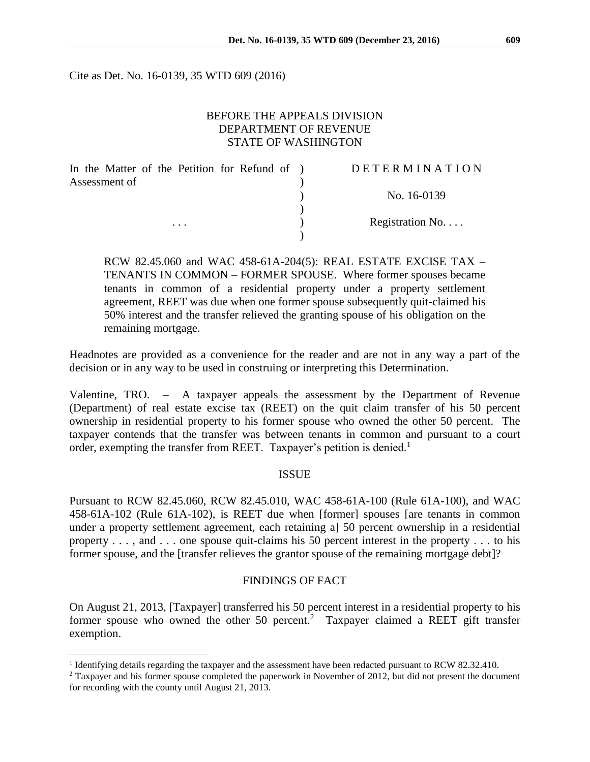Cite as Det. No. 16-0139, 35 WTD 609 (2016)

### BEFORE THE APPEALS DIVISION DEPARTMENT OF REVENUE STATE OF WASHINGTON

| In the Matter of the Petition for Refund of ) | DETERMINATION    |
|-----------------------------------------------|------------------|
| Assessment of                                 |                  |
|                                               | No. 16-0139      |
|                                               |                  |
| $\cdots$                                      | Registration No. |
|                                               |                  |

RCW 82.45.060 and WAC 458-61A-204(5): REAL ESTATE EXCISE TAX – TENANTS IN COMMON – FORMER SPOUSE. Where former spouses became tenants in common of a residential property under a property settlement agreement, REET was due when one former spouse subsequently quit-claimed his 50% interest and the transfer relieved the granting spouse of his obligation on the remaining mortgage.

Headnotes are provided as a convenience for the reader and are not in any way a part of the decision or in any way to be used in construing or interpreting this Determination.

Valentine, TRO. – A taxpayer appeals the assessment by the Department of Revenue (Department) of real estate excise tax (REET) on the quit claim transfer of his 50 percent ownership in residential property to his former spouse who owned the other 50 percent. The taxpayer contends that the transfer was between tenants in common and pursuant to a court order, exempting the transfer from REET. Taxpayer's petition is denied.<sup>1</sup>

### ISSUE

Pursuant to RCW 82.45.060, RCW 82.45.010, WAC 458-61A-100 (Rule 61A-100), and WAC 458-61A-102 (Rule 61A-102), is REET due when [former] spouses [are tenants in common under a property settlement agreement, each retaining a] 50 percent ownership in a residential property . . . , and . . . one spouse quit-claims his 50 percent interest in the property . . . to his former spouse, and the [transfer relieves the grantor spouse of the remaining mortgage debt]?

### FINDINGS OF FACT

On August 21, 2013, [Taxpayer] transferred his 50 percent interest in a residential property to his former spouse who owned the other 50 percent.<sup>2</sup> Taxpayer claimed a REET gift transfer exemption.

 $\overline{a}$ 

<sup>&</sup>lt;sup>1</sup> Identifying details regarding the taxpayer and the assessment have been redacted pursuant to RCW 82.32.410.

<sup>2</sup> Taxpayer and his former spouse completed the paperwork in November of 2012, but did not present the document for recording with the county until August 21, 2013.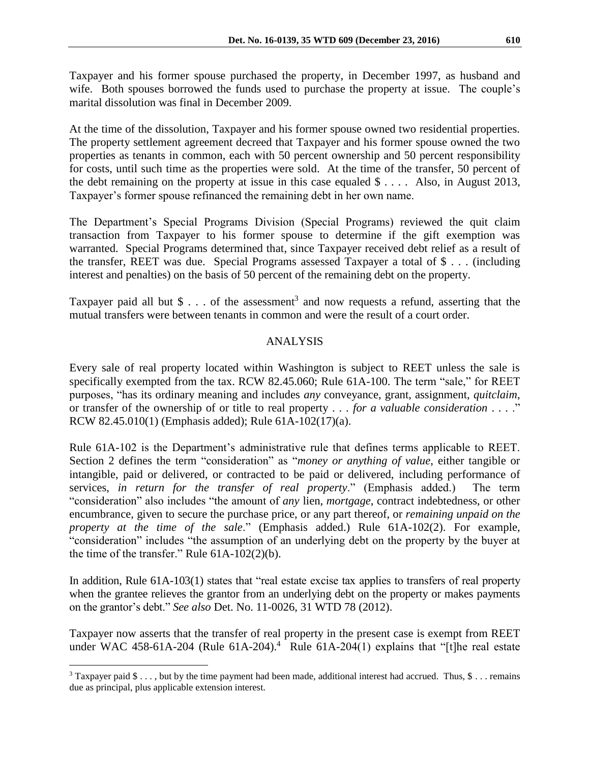Taxpayer and his former spouse purchased the property, in December 1997, as husband and wife. Both spouses borrowed the funds used to purchase the property at issue. The couple's marital dissolution was final in December 2009.

At the time of the dissolution, Taxpayer and his former spouse owned two residential properties. The property settlement agreement decreed that Taxpayer and his former spouse owned the two properties as tenants in common, each with 50 percent ownership and 50 percent responsibility for costs, until such time as the properties were sold. At the time of the transfer, 50 percent of the debt remaining on the property at issue in this case equaled  $\frac{1}{2}$ .... Also, in August 2013, Taxpayer's former spouse refinanced the remaining debt in her own name.

The Department's Special Programs Division (Special Programs) reviewed the quit claim transaction from Taxpayer to his former spouse to determine if the gift exemption was warranted. Special Programs determined that, since Taxpayer received debt relief as a result of the transfer, REET was due. Special Programs assessed Taxpayer a total of \$ . . . (including interest and penalties) on the basis of 50 percent of the remaining debt on the property.

Taxpayer paid all but \$ . . . of the assessment<sup>3</sup> and now requests a refund, asserting that the mutual transfers were between tenants in common and were the result of a court order.

# ANALYSIS

Every sale of real property located within Washington is subject to REET unless the sale is specifically exempted from the tax. RCW 82.45.060; Rule 61A-100. The term "sale," for REET purposes, "has its ordinary meaning and includes *any* conveyance, grant, assignment, *quitclaim*, or transfer of the ownership of or title to real property . . . *for a valuable consideration* . . . ." RCW 82.45.010(1) (Emphasis added); Rule 61A-102(17)(a).

Rule 61A-102 is the Department's administrative rule that defines terms applicable to REET. Section 2 defines the term "consideration" as "*money or anything of value*, either tangible or intangible, paid or delivered, or contracted to be paid or delivered, including performance of services, *in return for the transfer of real property*." (Emphasis added.) The term "consideration" also includes "the amount of *any* lien, *mortgage*, contract indebtedness, or other encumbrance, given to secure the purchase price, or any part thereof, or *remaining unpaid on the property at the time of the sale*." (Emphasis added.) Rule 61A-102(2). For example, "consideration" includes "the assumption of an underlying debt on the property by the buyer at the time of the transfer." Rule 61A-102(2)(b).

In addition, Rule 61A-103(1) states that "real estate excise tax applies to transfers of real property when the grantee relieves the grantor from an underlying debt on the property or makes payments on the grantor's debt." *See also* Det. No. 11-0026, 31 WTD 78 (2012).

Taxpayer now asserts that the transfer of real property in the present case is exempt from REET under WAC 458-61A-204 (Rule 61A-204).<sup>4</sup> Rule 61A-204(1) explains that "[t]he real estate

 $\overline{a}$ 

<sup>&</sup>lt;sup>3</sup> Taxpayer paid  $\$\ldots$ , but by the time payment had been made, additional interest had accrued. Thus,  $\$\ldots$  remains due as principal, plus applicable extension interest.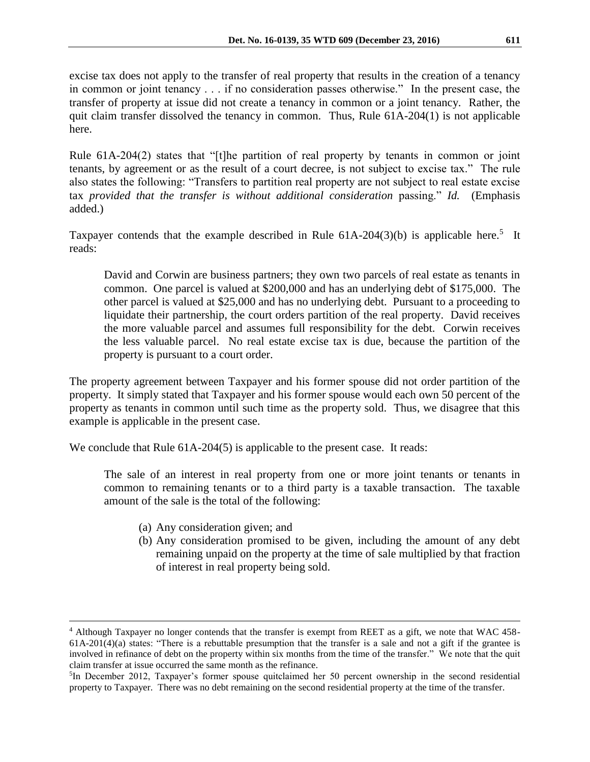excise tax does not apply to the transfer of real property that results in the creation of a tenancy in common or joint tenancy . . . if no consideration passes otherwise." In the present case, the transfer of property at issue did not create a tenancy in common or a joint tenancy. Rather, the quit claim transfer dissolved the tenancy in common. Thus, Rule 61A-204(1) is not applicable here.

Rule 61A-204(2) states that "[t]he partition of real property by tenants in common or joint tenants, by agreement or as the result of a court decree, is not subject to excise tax." The rule also states the following: "Transfers to partition real property are not subject to real estate excise tax *provided that the transfer is without additional consideration* passing." *Id.* (Emphasis added.)

Taxpayer contends that the example described in Rule  $61A-204(3)(b)$  is applicable here.<sup>5</sup> It reads:

David and Corwin are business partners; they own two parcels of real estate as tenants in common. One parcel is valued at \$200,000 and has an underlying debt of \$175,000. The other parcel is valued at \$25,000 and has no underlying debt. Pursuant to a proceeding to liquidate their partnership, the court orders partition of the real property. David receives the more valuable parcel and assumes full responsibility for the debt. Corwin receives the less valuable parcel. No real estate excise tax is due, because the partition of the property is pursuant to a court order.

The property agreement between Taxpayer and his former spouse did not order partition of the property. It simply stated that Taxpayer and his former spouse would each own 50 percent of the property as tenants in common until such time as the property sold. Thus, we disagree that this example is applicable in the present case.

We conclude that Rule 61A-204(5) is applicable to the present case. It reads:

The sale of an interest in real property from one or more joint tenants or tenants in common to remaining tenants or to a third party is a taxable transaction. The taxable amount of the sale is the total of the following:

(a) Any consideration given; and

 $\overline{a}$ 

(b) Any consideration promised to be given, including the amount of any debt remaining unpaid on the property at the time of sale multiplied by that fraction of interest in real property being sold.

<sup>4</sup> Although Taxpayer no longer contends that the transfer is exempt from REET as a gift, we note that WAC 458-  $61A-201(4)(a)$  states: "There is a rebuttable presumption that the transfer is a sale and not a gift if the grantee is involved in refinance of debt on the property within six months from the time of the transfer." We note that the quit claim transfer at issue occurred the same month as the refinance.

<sup>&</sup>lt;sup>5</sup>In December 2012, Taxpayer's former spouse quitclaimed her 50 percent ownership in the second residential property to Taxpayer. There was no debt remaining on the second residential property at the time of the transfer.